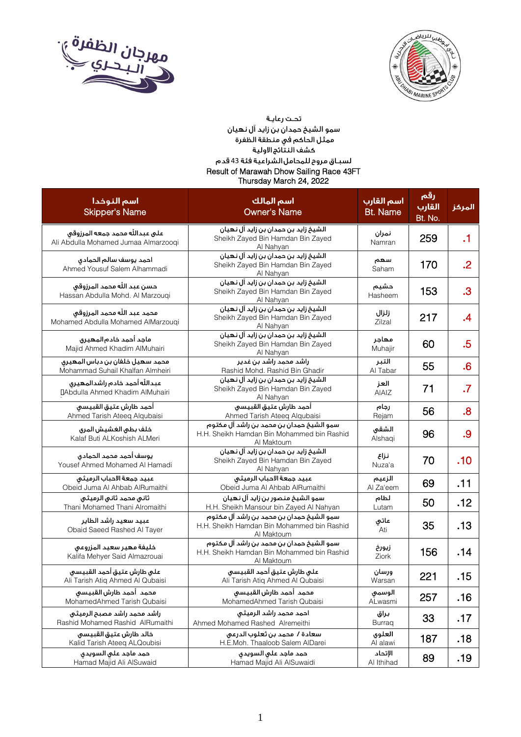



## تحت رعاية سمو الشيخ حمدان بن زايد آل نهيان مر.<br>ممثل الحاكم في منطقة الظفرة .<br>كشف النتائج الاولية لسبـاق مروح للمحامل الشراعية فئة 43 قدم Result of Marawah Dhow Sailing Race 43FT Thursday March 24, 2022

| اسم النوخدا<br><b>Skipper's Name</b>                                    | اسم المالك<br><b>Owner's Name</b>                                                                    | اسم القارب<br><b>Bt. Name</b> | رقم<br>القارب<br>Bt. No. | المركز    |
|-------------------------------------------------------------------------|------------------------------------------------------------------------------------------------------|-------------------------------|--------------------------|-----------|
| على عبدالله محمد جمعه المرزوقي<br>Ali Abdulla Mohamed Jumaa Almarzoogi  | الشيخ زايد بن حمدان بن زايد آل نهيان<br>Sheikh Zayed Bin Hamdan Bin Zayed<br>Al Nahyan               | نمران<br>Namran               | 259                      | $\cdot$ 1 |
| احمد يوسف سالم الحمادى<br>Ahmed Yousuf Salem Alhammadi                  | الشيخ زايد بن حمدان بن زايد آل نهيان<br>Sheikh Zayed Bin Hamdan Bin Zayed<br>Al Nahyan               | سهم<br>Saham                  | 170                      | $\cdot$   |
| حسن عبد الله محمد المرزوقى<br>Hassan Abdulla Mohd. Al Marzouqi          | الشيخ زايد بن حمدان بن زايد آل نهيان<br>Sheikh Zayed Bin Hamdan Bin Zayed<br>Al Nahyan               | حشيم<br>Hasheem               | 153                      | $\cdot$ 3 |
| محمد عبد اللّه محمد المرزوقي<br>Mohamed Abdulla Mohamed AlMarzougi      | الشيخ زايد بن حمدان بن زايد آل نهيان<br>Sheikh Zayed Bin Hamdan Bin Zayed<br>Al Nahyan               | زلزال<br>Zilzal               | 217                      | $\cdot$   |
| ماجد أحمد خادم المهيرق<br>Majid Ahmed Khadim AlMuhairi                  | الشيخ زايد بن حمدان بن زايد آل نهيان<br>Sheikh Zayed Bin Hamdan Bin Zayed<br>Al Nahyan               | مهاجر<br>Muhajir              | 60                       | .5        |
| محمد سهيل خلفان بن دباس المهيرق<br>Mohammad Suhail Khalfan Almheiri     | راشد محمد راشد بن غدیر<br>Rashid Mohd. Rashid Bin Ghadir                                             | التبر<br>Al Tabar             | 55                       | .6        |
| عبدالله أحمد خادم راشدالمهيرق<br><b>IAbdulla Ahmed Khadim AlMuhairi</b> | الشيخ زايد بن حمدان بن زايد آل نهيان<br>Sheikh Zayed Bin Hamdan Bin Zayed<br>Al Nahyan               | العز<br>AIAIZ                 | 71                       | $\cdot$ 7 |
| أحمد طارش عتيق القبيسى<br>Ahmed Tarish Ateeq Alqubaisi                  | أحمد طارش عتيق القبيسى<br>Ahmed Tarish Ateeq Alqubaisi                                               | رجام<br>Rejam                 | 56                       | .8        |
| خلف بطى الغشيش المرى<br>Kalaf Buti ALKoshish ALMeri                     | سمو الشيخ حمدان بن محمد بن راشد آل مكتوم<br>H.H. Sheikh Hamdan Bin Mohammed bin Rashid<br>Al Maktoum | الشقى<br>Alshaqi              | 96                       | .9        |
| يوسف أحمد محمد الحمادى<br>Yousef Ahmed Mohamed Al Hamadi                | الشيخ زايد بن حمدان بن زايد آل نهيان<br>Sheikh Zayed Bin Hamdan Bin Zayed<br>Al Nahyan               | نزاع<br>Nuza'a                | 70                       | .10       |
| عبيد جمعة الاحباب الرميثى<br>Obeid Juma Al Ahbab AlRumaithi             | عبيد جمعة الاحباب الرميثى<br>Obeid Juma Al Ahbab AlRumaithi                                          | الزعيم<br>Al Za'eem           | 69                       | .11       |
| ثانى محمد ثانى الرميثى<br>Thani Mohamed Thani Alromaithi                | سمو الشيخ منصور بن زايد آل نهيان<br>H.H. Sheikh Mansour bin Zayed Al Nahyan                          | لطام<br>Lutam                 | 50                       | .12       |
| عبيد سعيد راشد الطاير<br>Obaid Saeed Rashed Al Tayer                    | سمو الشيخ حمدان بن محمد بن راشد آل مكتوم<br>H.H. Sheikh Hamdan Bin Mohammed bin Rashid<br>Al Maktoum | عاتي<br>Ati                   | 35                       | .13       |
| خليفة مهير سعيد المزروعى<br>Kalifa Mehyer Said Almazrouai               | سمو الشيخ حمدان بن محمد بن راشد آل مكتوم<br>H.H. Sheikh Hamdan Bin Mohammed bin Rashid<br>Al Maktoum | زيورخ<br>Ziork                | 156                      | .14       |
| على طارش عتيق أحمد القبيسى<br>Ali Tarish Atiq Ahmed Al Qubaisi          | على طارش عتيق أحمد القبيسى<br>Ali Tarish Atiq Ahmed Al Qubaisi                                       | ورسان<br>Warsan               | 221                      | .15       |
| محمد أحمد طارش القبيسى<br>MohamedAhmed Tarish Qubaisi                   | محمد أحمد طارش القبيسى<br>MohamedAhmed Tarish Qubaisi                                                | الوسمى<br>ALwasmi             | 257                      | .16       |
| راشد محمد راشد مصبح الرميثى<br>Rashid Mohamed Rashid AlRumaithi         | احمد محمد راشد الرميثي<br>Ahmed Mohamed Rashed Alremeithi                                            | براق<br><b>Burraq</b>         | 33                       | .17       |
| خالد طارش عتيق القبيسى<br>Kalid Tarish Ateeq ALQoubisi                  | سعادة /  محمد بن ثعلوب الدرعى<br>H.E.Moh. Thaaloob Salem AlDarei                                     | العلوى<br>Al alawi            | 187                      | .18       |
| حمد ماجد علي السويدي<br>Hamad Majid Ali AlSuwaid                        | حمد ماجد على السويدى<br>Hamad Majid Ali AlSuwaidi                                                    | الإتحاد<br>Al Ithihad         | 89                       | .19       |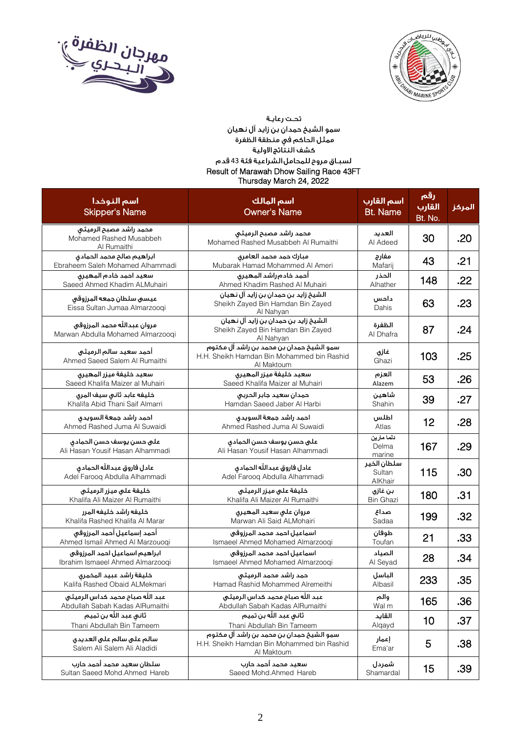



## تحت رعاية سمو الشيخ حمدان بن زايد آل نهيان مر.<br>ممثل الحاكم في منطقة الظفرة .<br>كشف النتائج الاولية لسبـاق مروح للمحامل الشراعية فئة 43 قدم Result of Marawah Dhow Sailing Race 43FT Thursday March 24, 2022

| اسم النوخدا<br><b>Skipper's Name</b>                               | اسم المالك<br><b>Owner's Name</b>                                                                    | اسم القارب<br><b>Bt. Name</b>    | رقم<br>القارب<br>Bt. No. | المركز |
|--------------------------------------------------------------------|------------------------------------------------------------------------------------------------------|----------------------------------|--------------------------|--------|
| محمد راشد مصبح الرميثى<br>Mohamed Rashed Musabbeh<br>Al Rumaithi   | محمد راشد مصبح الرميثى<br>Mohamed Rashed Musabbeh Al Rumaithi                                        | العديد<br>Al Adeed               | 30                       | .20    |
| ابراهيم صالح محمد الحمادى<br>Ebraheem Saleh Mohamed Alhammadi      | مبارك حمد محمد العامرق<br>Mubarak Hamad Mohammed Al Ameri                                            | مفارج<br>Mafarij                 | 43                       | .21    |
| سعيد احمد خادم المهيرق<br>Saeed Ahmed Khadim ALMuhairi             | أحمد خادم راشد المهيرى<br>Ahmed Khadim Rashed Al Muhairi                                             | الحذر<br>Alhather                | 148                      | .22    |
| عيسى سلطان جمعه المرزوقى<br>Eissa Sultan Jumaa Almarzoogi          | الشيخ زايد بن حمدان بن زايد آل نهيان<br>Sheikh Zayed Bin Hamdan Bin Zayed<br>Al Nahyan               | داحس<br>Dahis                    | 63                       | .23    |
| مروان عبدالله محمد المرزوقى<br>Marwan Abdulla Mohamed Almarzooqi   | الشيخ زايد بن حمدان بن زايد آل نهيان<br>Sheikh Zayed Bin Hamdan Bin Zayed<br>Al Nahyan               | الظفرة<br>Al Dhafra              | 87                       | .24    |
| أحمد سعيد سالم الرميثى<br>Ahmed Saeed Salem Al Rumaithi            | سمو الشيخ حمدان بن محمد بن راشد آل مكتوم<br>H.H. Sheikh Hamdan Bin Mohammed bin Rashid<br>Al Maktoum | غازي<br>Ghazi                    | 103                      | .25    |
| سعيد خليفة ميزر المهيرى<br>Saeed Khalifa Maizer al Muhairi         | سعيد خليفة ميزر المهيرى<br>Saeed Khalifa Maizer al Muhairi                                           | العزم<br>Alazem                  | 53                       | .26    |
| خليفه عابد ثانى سيف المرى<br>Khalifa Abid Thani Saif Almarri       | حمدان سعيد جابر الحربى<br>Hamdan Saeed Jaber Al Harbi                                                | شاهين<br>Shahin                  | 39                       | .27    |
| احمد راشد جمعة السويدى<br>Ahmed Rashed Juma Al Suwaidi             | احمد راشد جمعة السويدى<br>Ahmed Rashed Juma Al Suwaidi                                               | اطلس<br>Atlas                    | 12                       | .28    |
| على حسن يوسف حسن الحمادق<br>Ali Hasan Yousif Hasan Alhammadi       | على حسن يوسف حسن الحمادق<br>Ali Hasan Yousif Hasan Alhammadi                                         | دلما مارين<br>Delma<br>marine    | 167                      | .29    |
| عادل فاروق عبدالله الحمادق<br>Adel Farooq Abdulla Alhammadi        | عادل فاروق عبدالله الحمادق<br>Adel Farooq Abdulla Alhammadi                                          | سلطان الخير<br>Sultan<br>AlKhair | 115                      | .30    |
| خليفة على ميزر الرميثى<br>Khalifa Ali Maizer Al Rumaithi           | خليفة على ميزر الرميثى<br>Khalifa Ali Maizer Al Rumaithi                                             | بن غازي<br><b>Bin Ghazi</b>      | 180                      | .31    |
| خليفه راشد خليفه المرر<br>Khalifa Rashed Khalifa Al Marar          | مروان على سعيد المهيرى<br>Marwan Ali Said ALMohairi                                                  | صداع<br>Sadaa                    | 199                      | .32    |
| أحمد إسماعيل أحمد المرزوقى<br>Ahmed Ismail Ahmed Al Marzouogi      | اسماعيل احمد محمد المرزوقى<br>Ismaeel Ahmed Mohamed Almarzooqi                                       | طوفان<br>Toufan                  | 21                       | .33    |
| ابراهيم اسماعيل احمد المرزوقى<br>Ibrahim Ismaeel Ahmed Almarzoogi  | اسماعيل احمد محمد المرزوقى<br>Ismaeel Ahmed Mohamed Almarzoogi                                       | الصياد<br>Al Seyad               | 28                       | .34    |
| خليفة راشد عبيد المخمرى<br>Kalifa Rashed Obaid ALMekmari           | حمد راشد محمد الرميثى<br>Hamad Rashid Mohammed Alremeithi                                            | الباسل<br>Albasil                | 233                      | .35    |
| عبد الله صباح محمد كداس الرميثى<br>Abdullah Sabah Kadas AlRumaithi | عبد الله صباح محمد كداس الرميثى<br>Abdullah Sabah Kadas AlRumaithi                                   | والم<br>Wal m                    | 165                      | .36    |
| ثاني عبد الله بن تميم<br>Thani Abdullah Bin Tameem                 | ثاني عبد الله بن تميم<br>Thani Abdullah Bin Tameem                                                   | القايد<br>Alqayd                 | 10                       | .37    |
| سالم على سالم على العديدق<br>Salem Ali Salem Ali Aladidi           | سمو الشيخ حمدان بن محمد بن راشد آل مكتوم<br>H.H. Sheikh Hamdan Bin Mohammed bin Rashid<br>Al Maktoum | إعمار<br>Ema'ar                  | 5                        | .38    |
| سلطان سعيد محمد أحمد حارب<br>Sultan Saeed Mohd.Ahmed Hareb         | سعيد محمد أحمد حازب<br>Saeed Mohd.Ahmed Hareb                                                        | شمردل<br>Shamardal               | 15                       | .39    |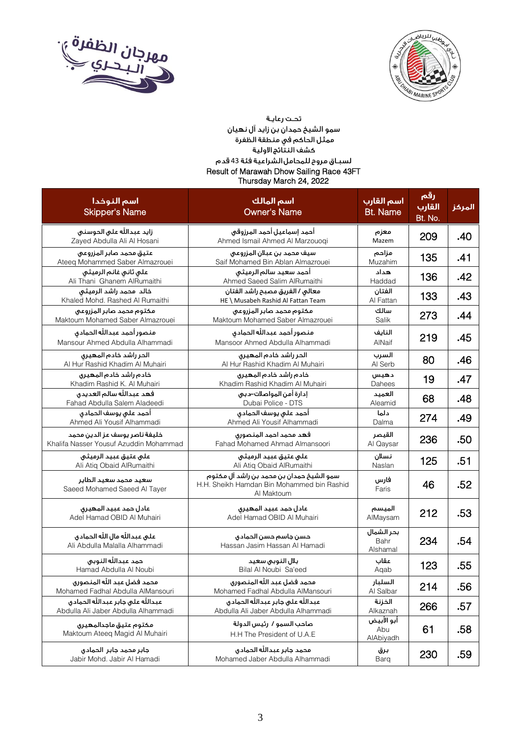



## تحت رعاية سمو الشيخ حمدان بن زايد آل نهيان مر.<br>ممثل الحاكم في منطقة الظفرة .<br>كشف النتائج الاولية لسبـاق مروح للمحامل الشراعية فئة 43 قدم Result of Marawah Dhow Sailing Race 43FT Thursday March 24, 2022

| اسم النوخدا<br><b>Skipper's Name</b>                                    | اسم المالك<br><b>Owner's Name</b>                                                                    | اسم القارب<br><b>Bt. Name</b>  | رقم<br>القارب<br>Bt. No. | المركز |
|-------------------------------------------------------------------------|------------------------------------------------------------------------------------------------------|--------------------------------|--------------------------|--------|
| زايد عبدالله على الحوسنى<br>Zayed Abdulla Ali Al Hosani                 | أحمد إسماعيل أحمد المرزوقى<br>Ahmed Ismail Ahmed Al Marzouoqi                                        | معزم<br>Mazem                  | 209                      | .40    |
| عتيق محمد صابر المزروعى<br>Ateeq Mohammed Saber Almazrouei              | سيف محمد بن عبلان المزروعى<br>Saif Mohamed Bin Ablan Almazrouei                                      | مزاحم<br>Muzahim               | 135                      | .41    |
| على ثانى غانم الرميثى<br>Ali Thani Ghanem AlRumaithi                    | أحمد سعيد سالم الرميثى<br>Ahmed Saeed Salim AlRumaithi                                               | هداد<br>Haddad                 | 136                      | .42    |
| خالد محمد راشد الرميثى<br>Khaled Mohd. Rashed Al Rumaithi               | معالى / الفريق مصبح راشد الفتان<br>HE \ Musabeh Rashid Al Fattan Team                                | الفنان<br>Al Fattan            | 133                      | .43    |
| مكتوم محمد صابر المزروعى<br>Maktoum Mohamed Saber Almazrouei            | مكتوم محمد صابر المزروعى<br>Maktoum Mohamed Saber Almazrouei                                         | سالك<br>Salik                  | 273                      | .44    |
| منصور أحمد عبدالله الحمادق<br>Mansour Ahmed Abdulla Alhammadi           | منصور أحمد عبدالله الحمادق<br>Mansoor Ahmed Abdulla Alhammadi                                        | النايف<br>AlNaif               | 219                      | .45    |
| الحر راشد خادم المهيرق<br>Al Hur Rashid Khadim Al Muhairi               | الحر راشد خادم المهيرق<br>Al Hur Rashid Khadim Al Muhairi                                            | السرب<br>Al Serb               | 80                       | .46    |
| خادم راشد خادم المهيرى<br>Khadim Rashid K. Al Muhairi                   | خادم راشد خادم المهيرى<br>Khadim Rashid Khadim Al Muhairi                                            | دهيس<br>Dahees                 | 19                       | .47    |
| فهد عبدالله سالم العديدق<br>Fahad Abdulla Salem Aladeedi                | إدارة أمن المواصلات–دبى<br>Dubai Police - DTS                                                        | العميد<br>Aleamid              | 68                       | .48    |
| أحمد على يوسف الحمادى<br>Ahmed Ali Yousif Alhammadi                     | أحمد على يوسف الحمادق<br>Ahmed Ali Yousif Alhammadi                                                  | دلما<br>Dalma                  | 274                      | .49    |
| خليفة ناصر يوسف عز الدين محمد<br>Khalifa Nasser Yousuf Azuddin Mohammad | فهد محمد احمد المنصورى<br>Fahad Mohamed Ahmad Almansoori                                             | القيصر<br>Al Qaysar            | 236                      | .50    |
| على عتيق عبيد الرميثى<br>Ali Atiq Obaid AlRumaithi                      | على عتيق عبيد الرميثى<br>Ali Atiq Obaid AlRumaithi                                                   | نسلان<br>Naslan                | 125                      | .51    |
| سعيد محمد سعيد الطاير<br>Saeed Mohamed Saeed Al Tayer                   | سمو الشيخ حمدان بن محمد بن راشد آل مكتوم<br>H.H. Sheikh Hamdan Bin Mohammed bin Rashid<br>Al Maktoum | فارس<br>Faris                  | 46                       | .52    |
| عادل حمد عبيد المهيرق<br>Adel Hamad OBID Al Muhairi                     | عادل حمد عبيد المهيرق<br>Adel Hamad OBID Al Muhairi                                                  | الميسم<br>AlMaysam             | 212                      | .53    |
| على عبدالله مال الله الحمادق<br>Ali Abdulla Malalla Alhammadi           | حسن جاسم حسن الحمادى<br>Hassan Jasim Hassan Al Hamadi                                                | بحر الشمال<br>Bahr<br>Alshamal | 234                      | .54    |
| حمد عبدالله النوبي<br>Hamad Abdulla Al Noubi                            | بلال النوبى سعيد<br>Bilal Al Noubi Sa'eed                                                            | عقاب<br>Aqab                   | 123                      | .55    |
| محمد فضل عبد الله المنصورق<br>Mohamed Fadhal Abdulla AlMansouri         | محمد فضل عبد الله المنصوري<br>Mohamed Fadhal Abdulla AlMansouri                                      | السلبار<br>Al Salbar           | 214                      | .56    |
| عبدالله على جابر عبدالله الحمادق<br>Abdulla Ali Jaber Abdulla Alhammadi | عبدالله على جابر عبدالله الحمادق<br>Abdulla Ali Jaber Abdulla Alhammadi                              | الخزنة<br>Alkaznah             | 266                      | .57    |
| مكتوم عتيق ماجدالمهيرى<br>Maktoum Ateeq Magid Al Muhairi                | صاحب السمو / رئيس الدولة<br>H.H The President of U.A.E                                               | أبو الأبيض<br>Abu<br>AlAbiyadh | 61                       | .58    |
| جابر محمد جابر الحمادى<br>Jabir Mohd. Jabir Al Hamadi                   | محمد جابر عبدالله الحمادق<br>Mohamed Jaber Abdulla Alhammadi                                         | برق<br>Barq                    | 230                      | .59    |